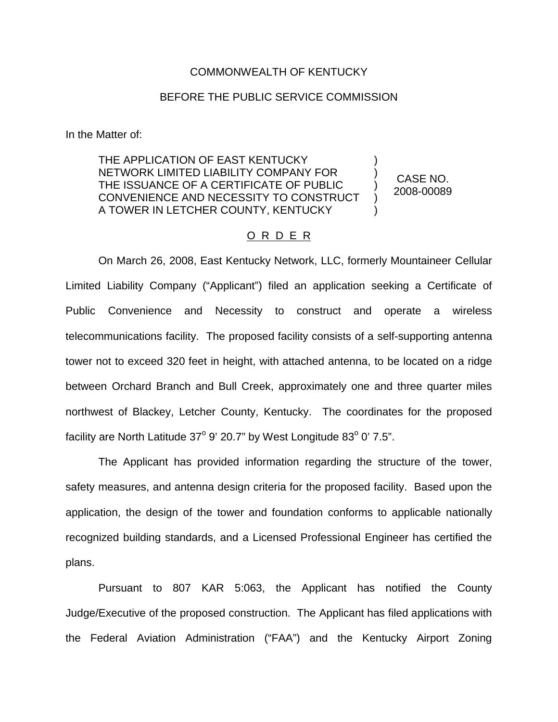## COMMONWEALTH OF KENTUCKY

## BEFORE THE PUBLIC SERVICE COMMISSION

In the Matter of:

THE APPLICATION OF EAST KENTUCKY NETWORK LIMITED LIABILITY COMPANY FOR THE ISSUANCE OF A CERTIFICATE OF PUBLIC CONVENIENCE AND NECESSITY TO CONSTRUCT A TOWER IN LETCHER COUNTY, KENTUCKY

CASE NO. 2008-00089

) ) ) ) )

## O R D E R

On March 26, 2008, East Kentucky Network, LLC, formerly Mountaineer Cellular Limited Liability Company ("Applicant") filed an application seeking a Certificate of Public Convenience and Necessity to construct and operate a wireless telecommunications facility. The proposed facility consists of a self-supporting antenna tower not to exceed 320 feet in height, with attached antenna, to be located on a ridge between Orchard Branch and Bull Creek, approximately one and three quarter miles northwest of Blackey, Letcher County, Kentucky. The coordinates for the proposed facility are North Latitude  $37^{\circ}$  9' 20.7" by West Longitude  $83^{\circ}$  0' 7.5".

The Applicant has provided information regarding the structure of the tower, safety measures, and antenna design criteria for the proposed facility. Based upon the application, the design of the tower and foundation conforms to applicable nationally recognized building standards, and a Licensed Professional Engineer has certified the plans.

Pursuant to 807 KAR 5:063, the Applicant has notified the County Judge/Executive of the proposed construction. The Applicant has filed applications with the Federal Aviation Administration ("FAA") and the Kentucky Airport Zoning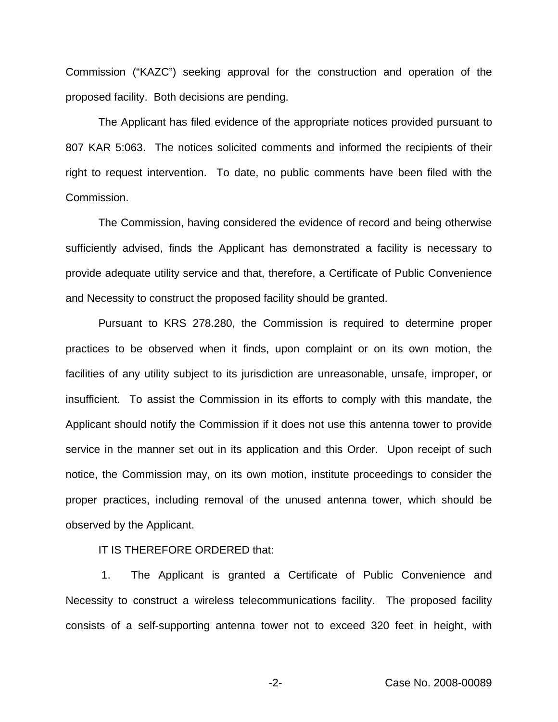Commission ("KAZC") seeking approval for the construction and operation of the proposed facility. Both decisions are pending.

The Applicant has filed evidence of the appropriate notices provided pursuant to 807 KAR 5:063. The notices solicited comments and informed the recipients of their right to request intervention. To date, no public comments have been filed with the Commission.

The Commission, having considered the evidence of record and being otherwise sufficiently advised, finds the Applicant has demonstrated a facility is necessary to provide adequate utility service and that, therefore, a Certificate of Public Convenience and Necessity to construct the proposed facility should be granted.

Pursuant to KRS 278.280, the Commission is required to determine proper practices to be observed when it finds, upon complaint or on its own motion, the facilities of any utility subject to its jurisdiction are unreasonable, unsafe, improper, or insufficient. To assist the Commission in its efforts to comply with this mandate, the Applicant should notify the Commission if it does not use this antenna tower to provide service in the manner set out in its application and this Order. Upon receipt of such notice, the Commission may, on its own motion, institute proceedings to consider the proper practices, including removal of the unused antenna tower, which should be observed by the Applicant.

IT IS THEREFORE ORDERED that:

1. The Applicant is granted a Certificate of Public Convenience and Necessity to construct a wireless telecommunications facility. The proposed facility consists of a self-supporting antenna tower not to exceed 320 feet in height, with